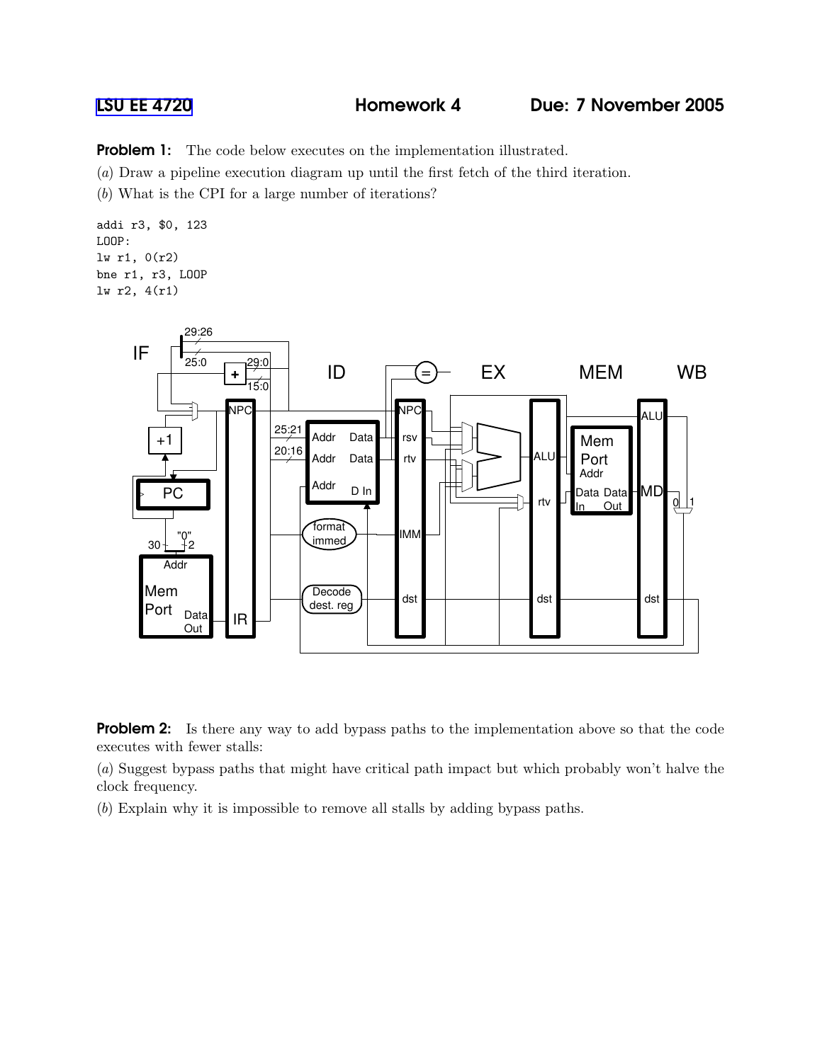**Problem 1:** The code below executes on the implementation illustrated.

(a) Draw a pipeline execution diagram up until the first fetch of the third iteration.

(b) What is the CPI for a large number of iterations?

addi r3, \$0, 123 LOOP: lw r1, 0(r2) bne r1, r3, LOOP lw r2, 4(r1)



**Problem 2:** Is there any way to add bypass paths to the implementation above so that the code executes with fewer stalls:

(a) Suggest bypass paths that might have critical path impact but which probably won't halve the clock frequency.

(b) Explain why it is impossible to remove all stalls by adding bypass paths.